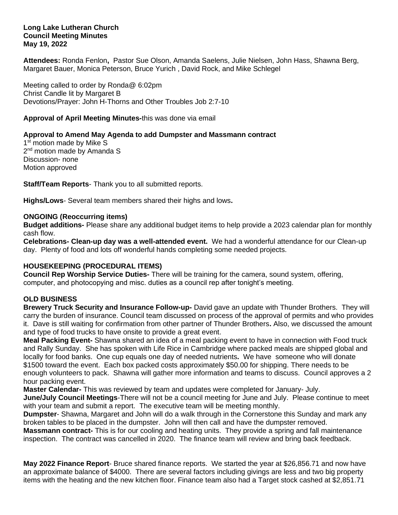#### **Long Lake Lutheran Church Council Meeting Minutes May 19, 2022**

**Attendees:** Ronda Fenlon**,** Pastor Sue Olson, Amanda Saelens, Julie Nielsen, John Hass, Shawna Berg, Margaret Bauer, Monica Peterson, Bruce Yurich , David Rock, and Mike Schlegel

Meeting called to order by Ronda@ 6:02pm Christ Candle lit by Margaret B Devotions/Prayer: John H-Thorns and Other Troubles Job 2:7-10

### **Approval of April Meeting Minutes-**this was done via email

### **Approval to Amend May Agenda to add Dumpster and Massmann contract**

1<sup>st</sup> motion made by Mike S 2<sup>nd</sup> motion made by Amanda S Discussion- none Motion approved

**Staff/Team Reports**- Thank you to all submitted reports.

**Highs/Lows**- Several team members shared their highs and lows**.**

### **ONGOING (Reoccurring items)**

**Budget additions-** Please share any additional budget items to help provide a 2023 calendar plan for monthly cash flow.

**Celebrations- Clean-up day was a well-attended event.** We had a wonderful attendance for our Clean-up day. Plenty of food and lots off wonderful hands completing some needed projects.

# **HOUSEKEEPING (PROCEDURAL ITEMS)**

**Council Rep Worship Service Duties-** There will be training for the camera, sound system, offering, computer, and photocopying and misc. duties as a council rep after tonight's meeting.

# **OLD BUSINESS**

**Brewery Truck Security and Insurance Follow-up-** David gave an update with Thunder Brothers. They will carry the burden of insurance. Council team discussed on process of the approval of permits and who provides it. Dave is still waiting for confirmation from other partner of Thunder Brothers**.** Also, we discussed the amount and type of food trucks to have onsite to provide a great event.

**Meal Packing Event-** Shawna shared an idea of a meal packing event to have in connection with Food truck and Rally Sunday. She has spoken with Life Rice in Cambridge where packed meals are shipped global and locally for food banks. One cup equals one day of needed nutrients**.** We have someone who will donate \$1500 toward the event. Each box packed costs approximately \$50.00 for shipping. There needs to be enough volunteers to pack. Shawna will gather more information and teams to discuss. Council approves a 2 hour packing event.

**Master Calendar-** This was reviewed by team and updates were completed for January- July.

**June/July Council Meetings**-There will not be a council meeting for June and July. Please continue to meet with your team and submit a report. The executive team will be meeting monthly.

**Dumpster**- Shawna, Margaret and John will do a walk through in the Cornerstone this Sunday and mark any broken tables to be placed in the dumpster. John will then call and have the dumpster removed.

**Massmann contract-** This is for our cooling and heating units. They provide a spring and fall maintenance inspection. The contract was cancelled in 2020. The finance team will review and bring back feedback.

**May 2022 Finance Report**- Bruce shared finance reports. We started the year at \$26,856.71 and now have an approximate balance of \$4000. There are several factors including givings are less and two big property items with the heating and the new kitchen floor. Finance team also had a Target stock cashed at \$2,851.71